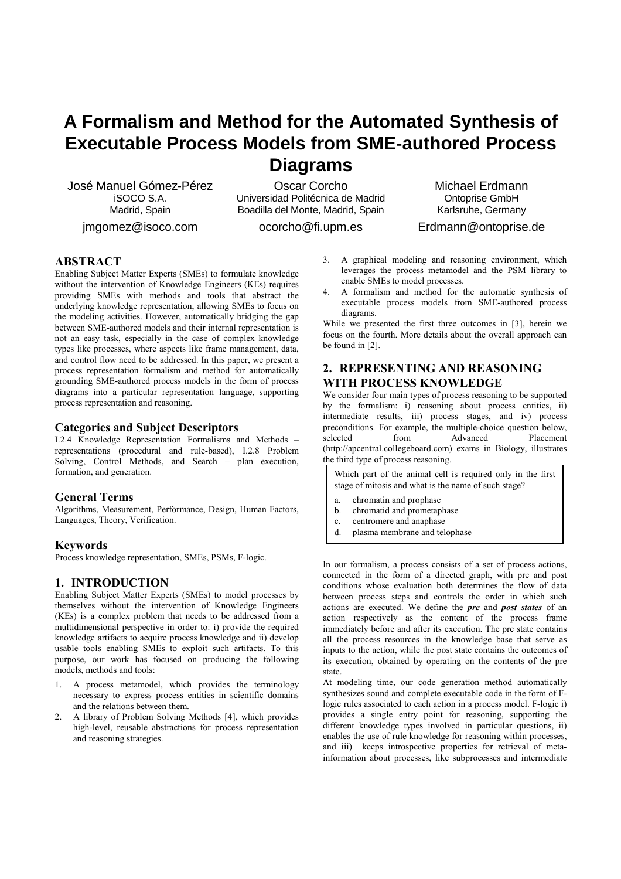# **A Formalism and Method for the Automated Synthesis of Executable Process Models from SME-authored Process Diagrams**

José Manuel Gómez-Pérez iSOCO S.A. Madrid, Spain

jmgomez@isoco.com

Oscar Corcho Universidad Politécnica de Madrid Boadilla del Monte, Madrid, Spain

ocorcho@fi.upm.es

Michael Erdmann Ontoprise GmbH Karlsruhe, Germany Erdmann@ontoprise.de

**ABSTRACT**

Enabling Subject Matter Experts (SMEs) to formulate knowledge without the intervention of Knowledge Engineers (KEs) requires providing SMEs with methods and tools that abstract the underlying knowledge representation, allowing SMEs to focus on the modeling activities. However, automatically bridging the gap between SME-authored models and their internal representation is not an easy task, especially in the case of complex knowledge types like processes, where aspects like frame management, data, and control flow need to be addressed. In this paper, we present a process representation formalism and method for automatically grounding SME-authored process models in the form of process diagrams into a particular representation language, supporting process representation and reasoning.

## **Categories and Subject Descriptors**

I.2.4 Knowledge Representation Formalisms and Methods – representations (procedural and rule-based), I.2.8 Problem Solving, Control Methods, and Search – plan execution, formation, and generation.

## **General Terms**

Algorithms, Measurement, Performance, Design, Human Factors, Languages, Theory, Verification.

# **Keywords**

Process knowledge representation, SMEs, PSMs, F-logic.

# **1. INTRODUCTION**

Enabling Subject Matter Experts (SMEs) to model processes by themselves without the intervention of Knowledge Engineers (KEs) is a complex problem that needs to be addressed from a multidimensional perspective in order to: i) provide the required knowledge artifacts to acquire process knowledge and ii) develop usable tools enabling SMEs to exploit such artifacts. To this purpose, our work has focused on producing the following models, methods and tools:

- 1. A process metamodel, which provides the terminology necessary to express process entities in scientific domains and the relations between them.
- 2. A library of Problem Solving Methods [4], which provides high-level, reusable abstractions for process representation and reasoning strategies.
- 3. A graphical modeling and reasoning environment, which leverages the process metamodel and the PSM library to enable SMEs to model processes.
- 4. A formalism and method for the automatic synthesis of executable process models from SME-authored process diagrams.

While we presented the first three outcomes in [3], herein we focus on the fourth. More details about the overall approach can be found in [2].

# **2. REPRESENTING AND REASONING WITH PROCESS KNOWLEDGE**

We consider four main types of process reasoning to be supported by the formalism: i) reasoning about process entities, ii) intermediate results, iii) process stages, and iv) process preconditions. For example, the multiple-choice question below, selected from Advanced Placement (http://apcentral.collegeboard.com) exams in Biology, illustrates the third type of process reasoning.

| Which part of the animal cell is required only in the first  <br>stage of mitosis and what is the name of such stage? |                               |  |  |  |  |
|-----------------------------------------------------------------------------------------------------------------------|-------------------------------|--|--|--|--|
| а.                                                                                                                    | chromatin and prophase        |  |  |  |  |
| b.                                                                                                                    | chromatid and prometaphase    |  |  |  |  |
| $c_{\cdot}$                                                                                                           | centromere and anaphase       |  |  |  |  |
| d.                                                                                                                    | plasma membrane and telophase |  |  |  |  |

In our formalism, a process consists of a set of process actions, connected in the form of a directed graph, with pre and post conditions whose evaluation both determines the flow of data between process steps and controls the order in which such actions are executed. We define the *pre* and *post states* of an action respectively as the content of the process frame immediately before and after its execution. The pre state contains all the process resources in the knowledge base that serve as inputs to the action, while the post state contains the outcomes of its execution, obtained by operating on the contents of the pre state.

At modeling time, our code generation method automatically synthesizes sound and complete executable code in the form of Flogic rules associated to each action in a process model. F-logic i) provides a single entry point for reasoning, supporting the different knowledge types involved in particular questions, ii) enables the use of rule knowledge for reasoning within processes, and iii) keeps introspective properties for retrieval of metainformation about processes, like subprocesses and intermediate